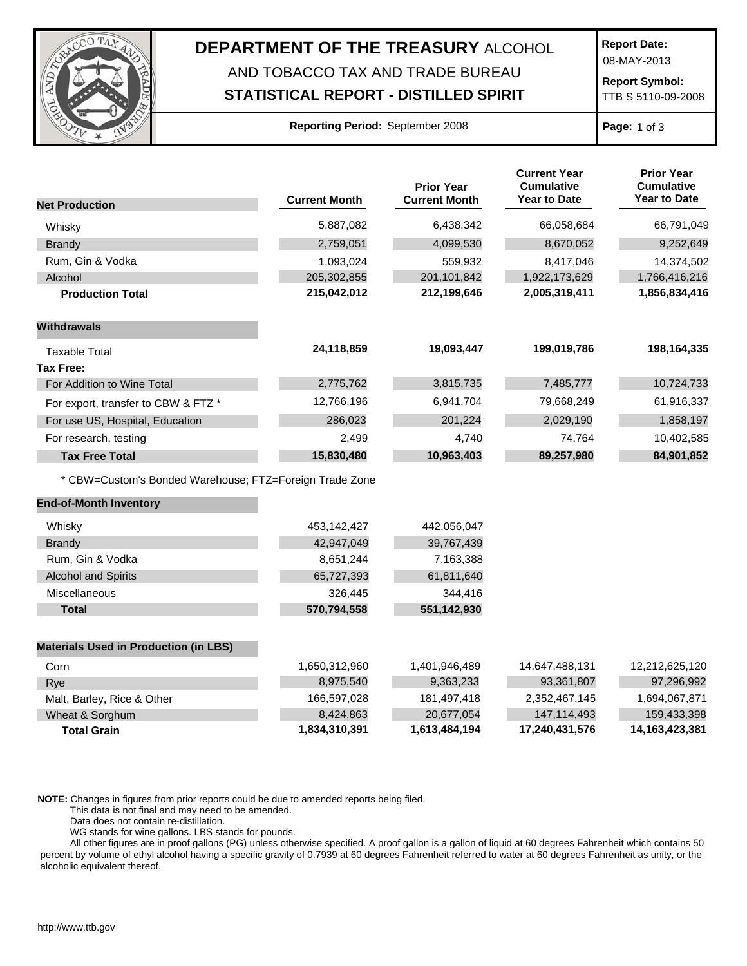

## **DEPARTMENT OF THE TREASURY** ALCOHOL

## AND TOBACCO TAX AND TRADE BUREAU

**STATISTICAL REPORT - DISTILLED SPIRIT**

**Report Date:**

08-MAY-2013

**Report Symbol:** TTB S 5110-09-2008

## **Reporting Period:** September 2008 **Page:** 1 of 3

|                                                         |                      | <b>Prior Year</b>    | <b>Current Year</b><br><b>Cumulative</b> | <b>Prior Year</b><br><b>Cumulative</b><br>Year to Date |
|---------------------------------------------------------|----------------------|----------------------|------------------------------------------|--------------------------------------------------------|
| <b>Net Production</b>                                   | <b>Current Month</b> | <b>Current Month</b> | <b>Year to Date</b>                      |                                                        |
| Whisky                                                  | 5,887,082            | 6,438,342            | 66,058,684                               | 66,791,049                                             |
| <b>Brandy</b>                                           | 2,759,051            | 4,099,530            | 8,670,052                                | 9,252,649                                              |
| Rum, Gin & Vodka                                        | 1,093,024            | 559,932              | 8,417,046                                | 14,374,502                                             |
| Alcohol                                                 | 205,302,855          | 201,101,842          | 1,922,173,629                            | 1,766,416,216                                          |
| <b>Production Total</b>                                 | 215,042,012          | 212,199,646          | 2,005,319,411                            | 1,856,834,416                                          |
| <b>Withdrawals</b>                                      |                      |                      |                                          |                                                        |
| <b>Taxable Total</b>                                    | 24,118,859           | 19,093,447           | 199,019,786                              | 198,164,335                                            |
| Tax Free:                                               |                      |                      |                                          |                                                        |
| For Addition to Wine Total                              | 2,775,762            | 3,815,735            | 7,485,777                                | 10,724,733                                             |
| For export, transfer to CBW & FTZ *                     | 12,766,196           | 6,941,704            | 79,668,249                               | 61,916,337                                             |
| For use US, Hospital, Education                         | 286,023              | 201,224              | 2,029,190                                | 1,858,197                                              |
| For research, testing                                   | 2,499                | 4,740                | 74,764                                   | 10,402,585                                             |
| <b>Tax Free Total</b>                                   | 15,830,480           | 10,963,403           | 89,257,980                               | 84,901,852                                             |
| * CBW=Custom's Bonded Warehouse; FTZ=Foreign Trade Zone |                      |                      |                                          |                                                        |
| <b>End-of-Month Inventory</b>                           |                      |                      |                                          |                                                        |
| Whisky                                                  | 453,142,427          | 442,056,047          |                                          |                                                        |
| <b>Brandy</b>                                           | 42,947,049           | 39,767,439           |                                          |                                                        |
| Rum, Gin & Vodka                                        | 8,651,244            | 7,163,388            |                                          |                                                        |
| <b>Alcohol and Spirits</b>                              | 65,727,393           | 61,811,640           |                                          |                                                        |
| Miscellaneous                                           | 326,445              | 344,416              |                                          |                                                        |
| <b>Total</b>                                            | 570,794,558          | 551,142,930          |                                          |                                                        |
| <b>Materials Used in Production (in LBS)</b>            |                      |                      |                                          |                                                        |
| Corn                                                    | 1,650,312,960        | 1,401,946,489        | 14,647,488,131                           | 12,212,625,120                                         |
| Rye                                                     | 8,975,540            | 9,363,233            | 93,361,807                               | 97,296,992                                             |
| Malt, Barley, Rice & Other                              | 166,597,028          | 181,497,418          | 2,352,467,145                            | 1,694,067,871                                          |
| Wheat & Sorghum                                         | 8,424,863            | 20,677,054           | 147,114,493                              | 159,433,398                                            |
| <b>Total Grain</b>                                      | 1,834,310,391        | 1,613,484,194        | 17,240,431,576                           | 14,163,423,381                                         |

**NOTE:** Changes in figures from prior reports could be due to amended reports being filed.

This data is not final and may need to be amended.

Data does not contain re-distillation.

WG stands for wine gallons. LBS stands for pounds.

All other figures are in proof gallons (PG) unless otherwise specified. A proof gallon is a gallon of liquid at 60 degrees Fahrenheit which contains 50 percent by volume of ethyl alcohol having a specific gravity of 0.7939 at 60 degrees Fahrenheit referred to water at 60 degrees Fahrenheit as unity, or the alcoholic equivalent thereof.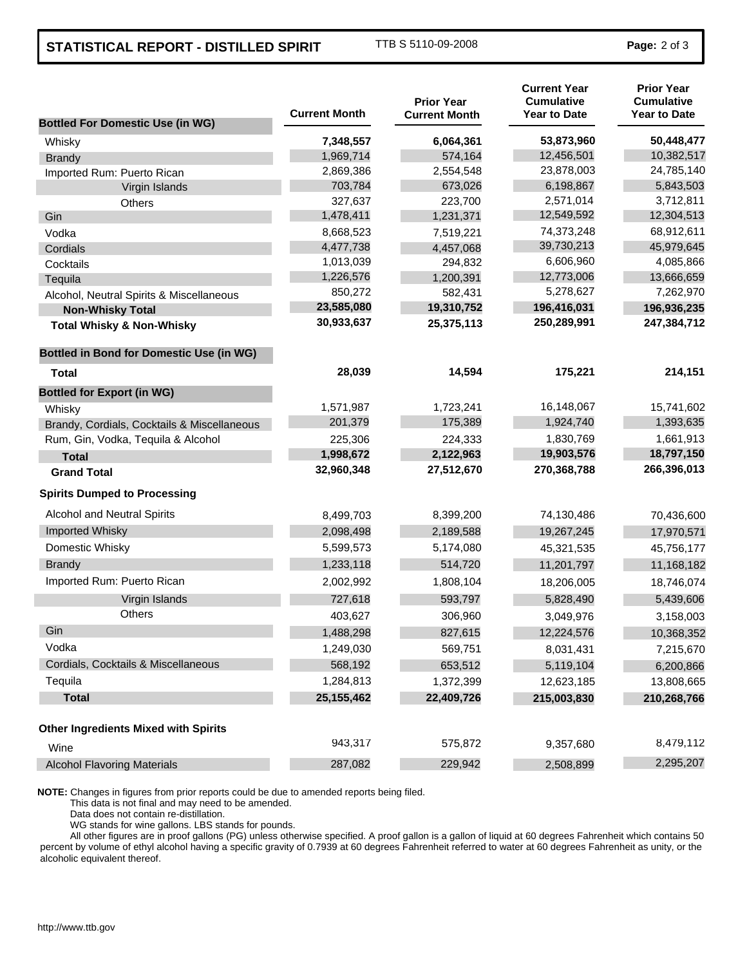## **STATISTICAL REPORT - DISTILLED SPIRIT** TTB S 5110-09-2008 **Page: 2 of 3**

| <b>Bottled For Domestic Use (in WG)</b>         | <b>Current Month</b> | <b>Prior Year</b><br><b>Current Month</b> | <b>Current Year</b><br><b>Cumulative</b><br><b>Year to Date</b> | <b>Prior Year</b><br><b>Cumulative</b><br><b>Year to Date</b> |
|-------------------------------------------------|----------------------|-------------------------------------------|-----------------------------------------------------------------|---------------------------------------------------------------|
| Whisky                                          | 7,348,557            | 6,064,361                                 | 53,873,960                                                      | 50,448,477                                                    |
| <b>Brandy</b>                                   | 1,969,714            | 574,164                                   | 12,456,501                                                      | 10,382,517                                                    |
| Imported Rum: Puerto Rican                      | 2,869,386            | 2,554,548                                 | 23,878,003                                                      | 24,785,140                                                    |
| Virgin Islands                                  | 703,784              | 673,026                                   | 6,198,867                                                       | 5,843,503                                                     |
| Others                                          | 327,637              | 223,700                                   | 2,571,014                                                       | 3,712,811                                                     |
| Gin                                             | 1,478,411            | 1,231,371                                 | 12,549,592                                                      | 12,304,513                                                    |
| Vodka                                           | 8,668,523            | 7,519,221                                 | 74,373,248                                                      | 68,912,611                                                    |
| Cordials                                        | 4,477,738            | 4,457,068                                 | 39,730,213                                                      | 45,979,645                                                    |
| Cocktails                                       | 1,013,039            | 294,832                                   | 6,606,960                                                       | 4,085,866                                                     |
| Tequila                                         | 1,226,576            | 1,200,391                                 | 12,773,006                                                      | 13,666,659                                                    |
| Alcohol, Neutral Spirits & Miscellaneous        | 850,272              | 582,431                                   | 5,278,627                                                       | 7,262,970                                                     |
| <b>Non-Whisky Total</b>                         | 23,585,080           | 19,310,752                                | 196,416,031                                                     | 196,936,235                                                   |
| <b>Total Whisky &amp; Non-Whisky</b>            | 30,933,637           | 25,375,113                                | 250,289,991                                                     | 247,384,712                                                   |
| <b>Bottled in Bond for Domestic Use (in WG)</b> |                      |                                           |                                                                 |                                                               |
| Total                                           | 28,039               | 14,594                                    | 175,221                                                         | 214,151                                                       |
| <b>Bottled for Export (in WG)</b>               |                      |                                           |                                                                 |                                                               |
| Whisky                                          | 1,571,987            | 1,723,241                                 | 16,148,067                                                      | 15,741,602                                                    |
| Brandy, Cordials, Cocktails & Miscellaneous     | 201,379              | 175,389                                   | 1,924,740                                                       | 1,393,635                                                     |
| Rum, Gin, Vodka, Tequila & Alcohol              | 225,306              | 224,333                                   | 1,830,769                                                       | 1,661,913                                                     |
| <b>Total</b>                                    | 1,998,672            | 2,122,963                                 | 19,903,576                                                      | 18,797,150                                                    |
| <b>Grand Total</b>                              | 32,960,348           | 27,512,670                                | 270,368,788                                                     | 266,396,013                                                   |
| <b>Spirits Dumped to Processing</b>             |                      |                                           |                                                                 |                                                               |
| Alcohol and Neutral Spirits                     | 8,499,703            | 8,399,200                                 | 74,130,486                                                      | 70,436,600                                                    |
| Imported Whisky                                 | 2,098,498            | 2,189,588                                 | 19,267,245                                                      | 17,970,571                                                    |
| Domestic Whisky                                 | 5,599,573            | 5,174,080                                 | 45,321,535                                                      | 45,756,177                                                    |
| <b>Brandy</b>                                   | 1,233,118            | 514,720                                   | 11,201,797                                                      | 11,168,182                                                    |
| Imported Rum: Puerto Rican                      | 2,002,992            | 1,808,104                                 | 18,206,005                                                      | 18,746,074                                                    |
| Virgin Islands                                  | 727,618              | 593,797                                   | 5,828,490                                                       | 5,439,606                                                     |
| <b>Others</b>                                   | 403,627              | 306,960                                   | 3,049,976                                                       | 3,158,003                                                     |
| Gin                                             | 1,488,298            | 827,615                                   | 12,224,576                                                      | 10,368,352                                                    |
| Vodka                                           | 1,249,030            | 569,751                                   | 8,031,431                                                       | 7,215,670                                                     |
| Cordials, Cocktails & Miscellaneous             | 568,192              | 653,512                                   | 5,119,104                                                       | 6,200,866                                                     |
| Tequila                                         | 1,284,813            | 1,372,399                                 | 12,623,185                                                      | 13,808,665                                                    |
| <b>Total</b>                                    | 25, 155, 462         | 22,409,726                                | 215,003,830                                                     | 210,268,766                                                   |
| <b>Other Ingredients Mixed with Spirits</b>     |                      |                                           |                                                                 |                                                               |
| Wine                                            | 943,317              | 575,872                                   | 9,357,680                                                       | 8,479,112                                                     |
| <b>Alcohol Flavoring Materials</b>              | 287,082              | 229,942                                   | 2,508,899                                                       | 2,295,207                                                     |

**NOTE:** Changes in figures from prior reports could be due to amended reports being filed.

This data is not final and may need to be amended.

Data does not contain re-distillation.

WG stands for wine gallons. LBS stands for pounds.

All other figures are in proof gallons (PG) unless otherwise specified. A proof gallon is a gallon of liquid at 60 degrees Fahrenheit which contains 50 percent by volume of ethyl alcohol having a specific gravity of 0.7939 at 60 degrees Fahrenheit referred to water at 60 degrees Fahrenheit as unity, or the alcoholic equivalent thereof.